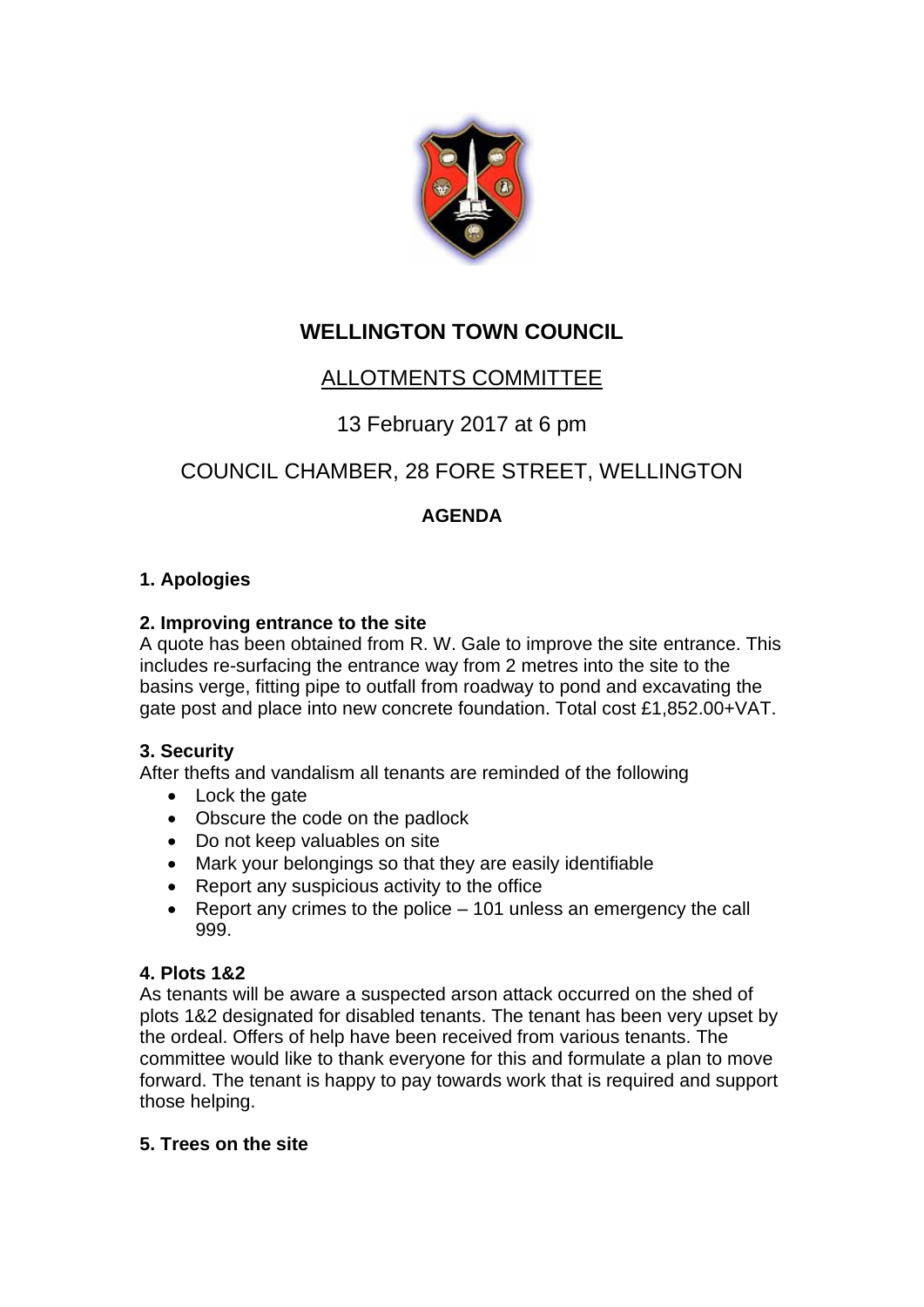

## **WELLINGTON TOWN COUNCIL**

## ALLOTMENTS COMMITTEE

### 13 February 2017 at 6 pm

# COUNCIL CHAMBER, 28 FORE STREET, WELLINGTON

### **AGENDA**

#### **1. Apologies**

#### **2. Improving entrance to the site**

A quote has been obtained from R. W. Gale to improve the site entrance. This includes re-surfacing the entrance way from 2 metres into the site to the basins verge, fitting pipe to outfall from roadway to pond and excavating the gate post and place into new concrete foundation. Total cost £1,852.00+VAT.

#### **3. Security**

After thefts and vandalism all tenants are reminded of the following

- Lock the gate
- Obscure the code on the padlock
- Do not keep valuables on site
- Mark your belongings so that they are easily identifiable
- Report any suspicious activity to the office
- Report any crimes to the police 101 unless an emergency the call 999.

#### **4. Plots 1&2**

As tenants will be aware a suspected arson attack occurred on the shed of plots 1&2 designated for disabled tenants. The tenant has been very upset by the ordeal. Offers of help have been received from various tenants. The committee would like to thank everyone for this and formulate a plan to move forward. The tenant is happy to pay towards work that is required and support those helping.

#### **5. Trees on the site**